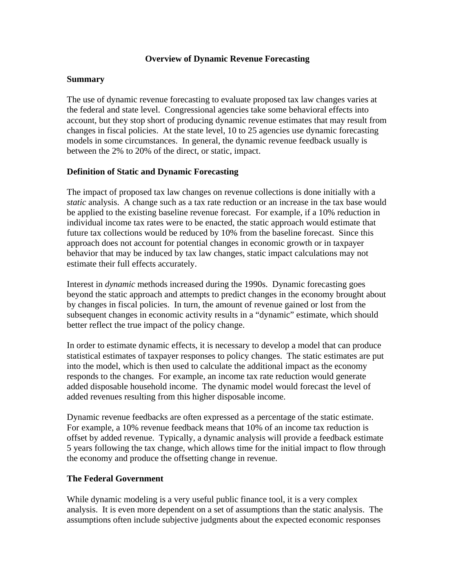### **Overview of Dynamic Revenue Forecasting**

### **Summary**

The use of dynamic revenue forecasting to evaluate proposed tax law changes varies at the federal and state level. Congressional agencies take some behavioral effects into account, but they stop short of producing dynamic revenue estimates that may result from changes in fiscal policies. At the state level, 10 to 25 agencies use dynamic forecasting models in some circumstances. In general, the dynamic revenue feedback usually is between the 2% to 20% of the direct, or static, impact.

## **Definition of Static and Dynamic Forecasting**

The impact of proposed tax law changes on revenue collections is done initially with a *static* analysis. A change such as a tax rate reduction or an increase in the tax base would be applied to the existing baseline revenue forecast. For example, if a 10% reduction in individual income tax rates were to be enacted, the static approach would estimate that future tax collections would be reduced by 10% from the baseline forecast. Since this approach does not account for potential changes in economic growth or in taxpayer behavior that may be induced by tax law changes, static impact calculations may not estimate their full effects accurately.

Interest in *dynamic* methods increased during the 1990s. Dynamic forecasting goes beyond the static approach and attempts to predict changes in the economy brought about by changes in fiscal policies. In turn, the amount of revenue gained or lost from the subsequent changes in economic activity results in a "dynamic" estimate, which should better reflect the true impact of the policy change.

In order to estimate dynamic effects, it is necessary to develop a model that can produce statistical estimates of taxpayer responses to policy changes. The static estimates are put into the model, which is then used to calculate the additional impact as the economy responds to the changes. For example, an income tax rate reduction would generate added disposable household income. The dynamic model would forecast the level of added revenues resulting from this higher disposable income.

Dynamic revenue feedbacks are often expressed as a percentage of the static estimate. For example, a 10% revenue feedback means that 10% of an income tax reduction is offset by added revenue. Typically, a dynamic analysis will provide a feedback estimate 5 years following the tax change, which allows time for the initial impact to flow through the economy and produce the offsetting change in revenue.

### **The Federal Government**

While dynamic modeling is a very useful public finance tool, it is a very complex analysis. It is even more dependent on a set of assumptions than the static analysis. The assumptions often include subjective judgments about the expected economic responses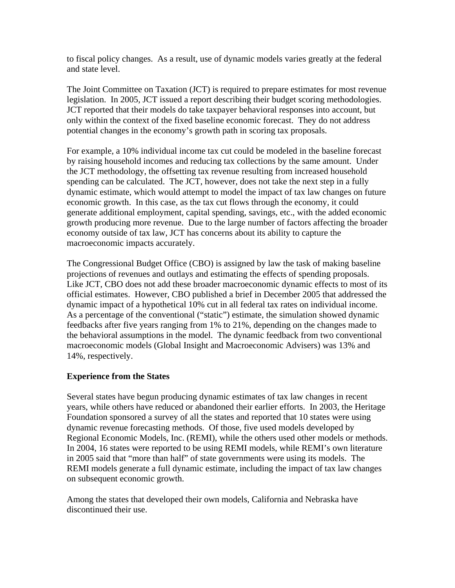to fiscal policy changes. As a result, use of dynamic models varies greatly at the federal and state level.

The Joint Committee on Taxation (JCT) is required to prepare estimates for most revenue legislation. In 2005, JCT issued a report describing their budget scoring methodologies. JCT reported that their models do take taxpayer behavioral responses into account, but only within the context of the fixed baseline economic forecast. They do not address potential changes in the economy's growth path in scoring tax proposals.

For example, a 10% individual income tax cut could be modeled in the baseline forecast by raising household incomes and reducing tax collections by the same amount. Under the JCT methodology, the offsetting tax revenue resulting from increased household spending can be calculated. The JCT, however, does not take the next step in a fully dynamic estimate, which would attempt to model the impact of tax law changes on future economic growth. In this case, as the tax cut flows through the economy, it could generate additional employment, capital spending, savings, etc., with the added economic growth producing more revenue. Due to the large number of factors affecting the broader economy outside of tax law, JCT has concerns about its ability to capture the macroeconomic impacts accurately.

The Congressional Budget Office (CBO) is assigned by law the task of making baseline projections of revenues and outlays and estimating the effects of spending proposals. Like JCT, CBO does not add these broader macroeconomic dynamic effects to most of its official estimates. However, CBO published a brief in December 2005 that addressed the dynamic impact of a hypothetical 10% cut in all federal tax rates on individual income. As a percentage of the conventional ("static") estimate, the simulation showed dynamic feedbacks after five years ranging from 1% to 21%, depending on the changes made to the behavioral assumptions in the model. The dynamic feedback from two conventional macroeconomic models (Global Insight and Macroeconomic Advisers) was 13% and 14%, respectively.

# **Experience from the States**

Several states have begun producing dynamic estimates of tax law changes in recent years, while others have reduced or abandoned their earlier efforts. In 2003, the Heritage Foundation sponsored a survey of all the states and reported that 10 states were using dynamic revenue forecasting methods. Of those, five used models developed by Regional Economic Models, Inc. (REMI), while the others used other models or methods. In 2004, 16 states were reported to be using REMI models, while REMI's own literature in 2005 said that "more than half" of state governments were using its models. The REMI models generate a full dynamic estimate, including the impact of tax law changes on subsequent economic growth.

Among the states that developed their own models, California and Nebraska have discontinued their use.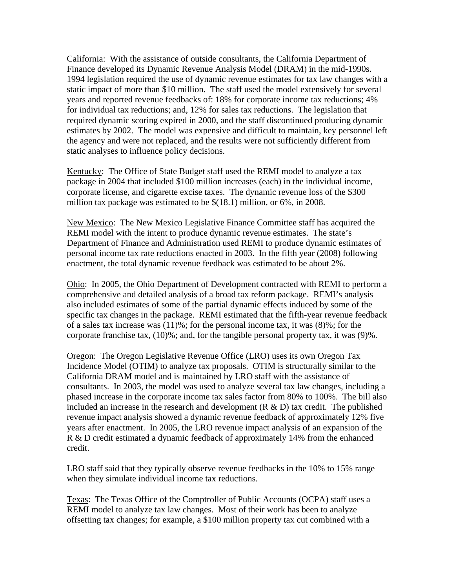California: With the assistance of outside consultants, the California Department of Finance developed its Dynamic Revenue Analysis Model (DRAM) in the mid-1990s. 1994 legislation required the use of dynamic revenue estimates for tax law changes with a static impact of more than \$10 million. The staff used the model extensively for several years and reported revenue feedbacks of: 18% for corporate income tax reductions; 4% for individual tax reductions; and, 12% for sales tax reductions. The legislation that required dynamic scoring expired in 2000, and the staff discontinued producing dynamic estimates by 2002. The model was expensive and difficult to maintain, key personnel left the agency and were not replaced, and the results were not sufficiently different from static analyses to influence policy decisions.

Kentucky: The Office of State Budget staff used the REMI model to analyze a tax package in 2004 that included \$100 million increases (each) in the individual income, corporate license, and cigarette excise taxes. The dynamic revenue loss of the \$300 million tax package was estimated to be \$(18.1) million, or 6%, in 2008.

New Mexico: The New Mexico Legislative Finance Committee staff has acquired the REMI model with the intent to produce dynamic revenue estimates. The state's Department of Finance and Administration used REMI to produce dynamic estimates of personal income tax rate reductions enacted in 2003. In the fifth year (2008) following enactment, the total dynamic revenue feedback was estimated to be about 2%.

Ohio: In 2005, the Ohio Department of Development contracted with REMI to perform a comprehensive and detailed analysis of a broad tax reform package. REMI's analysis also included estimates of some of the partial dynamic effects induced by some of the specific tax changes in the package. REMI estimated that the fifth-year revenue feedback of a sales tax increase was  $(11)$ %; for the personal income tax, it was  $(8)$ %; for the corporate franchise tax,  $(10)$ %; and, for the tangible personal property tax, it was  $(9)$ %.

Oregon: The Oregon Legislative Revenue Office (LRO) uses its own Oregon Tax Incidence Model (OTIM) to analyze tax proposals. OTIM is structurally similar to the California DRAM model and is maintained by LRO staff with the assistance of consultants. In 2003, the model was used to analyze several tax law changes, including a phased increase in the corporate income tax sales factor from 80% to 100%. The bill also included an increase in the research and development  $(R & D)$  tax credit. The published revenue impact analysis showed a dynamic revenue feedback of approximately 12% five years after enactment. In 2005, the LRO revenue impact analysis of an expansion of the R & D credit estimated a dynamic feedback of approximately 14% from the enhanced credit.

LRO staff said that they typically observe revenue feedbacks in the 10% to 15% range when they simulate individual income tax reductions.

Texas: The Texas Office of the Comptroller of Public Accounts (OCPA) staff uses a REMI model to analyze tax law changes. Most of their work has been to analyze offsetting tax changes; for example, a \$100 million property tax cut combined with a